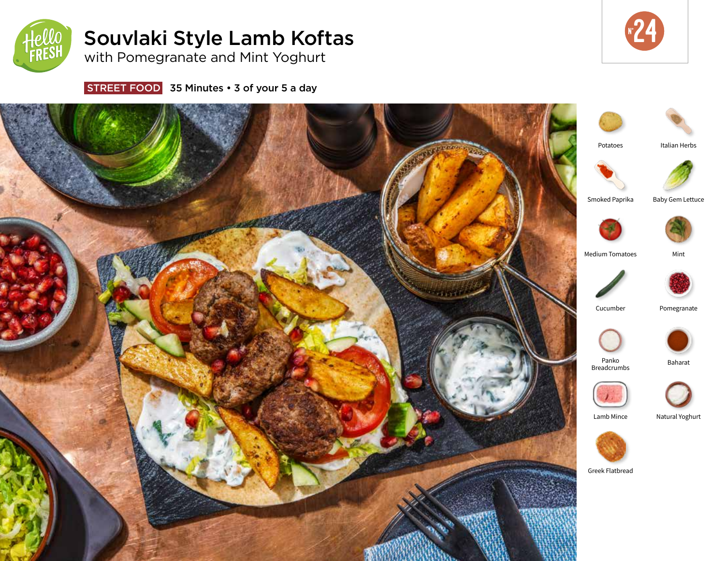

# Souvlaki Style Lamb Koftas



with Pomegranate and Mint Yoghurt

STREET FOOD 35 Minutes • 3 of your 5 a day